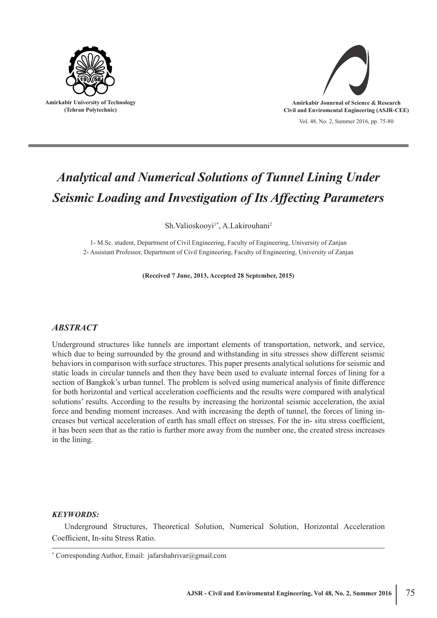



# *Analytical and Numerical Solutions of Tunnel Lining Under Seismic Loading and Investigation of Its Affecting Parameters*

Sh.Valioskooyi<sup>1\*</sup>, A.Lakirouhani<sup>2</sup>

1- M.Sc. student, Department of Civil Engineering, Faculty of Engineering, University of Zanjan 2- Assistant Professor, Department of Civil Engineering, Faculty of Engineering, University of Zanjan

**(Received 7 June, 2013, Accepted 28 September, 2015)**

## *ABSTRACT*

Underground structures like tunnels are important elements of transportation, network, and service, which due to being surrounded by the ground and withstanding in situ stresses show different seismic behaviors in comparison with surface structures. This paper presents analytical solutions for seismic and static loads in circular tunnels and then they have been used to evaluate internal forces of lining for a section of Bangkok's urban tunnel. The problem is solved using numerical analysis of finite difference for both horizontal and vertical acceleration coefficients and the results were compared with analytical solutions' results. According to the results by increasing the horizontal seismic acceleration, the axial force and bending moment increases. And with increasing the depth of tunnel, the forces of lining increases but vertical acceleration of earth has small effect on stresses. For the in- situ stress coefficient, it has been seen that as the ratio is further more away from the number one, the created stress increases in the lining.

#### *KEYWORDS:*

Underground Structures, Theoretical Solution, Numerical Solution, Horizontal Acceleration Coefficient, In-situ Stress Ratio.

<sup>\*</sup> Corresponding Author, Email: jafarshahrivar@gmail.com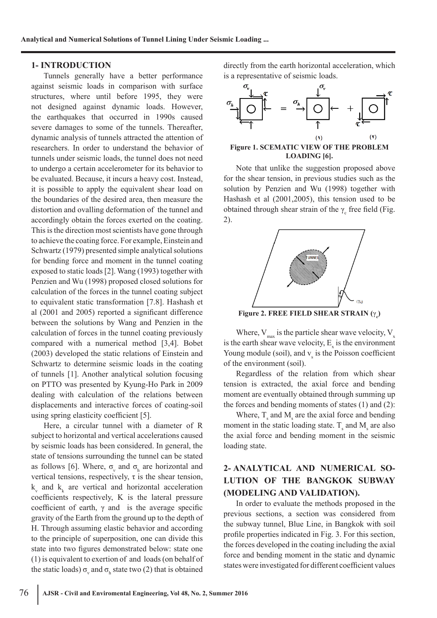#### **1- INTRODUCTION**

Tunnels generally have a better performance against seismic loads in comparison with surface structures, where until before 1995, they were not designed against dynamic loads. However, the earthquakes that occurred in 1990s caused severe damages to some of the tunnels. Thereafter, dynamic analysis of tunnels attracted the attention of researchers. In order to understand the behavior of tunnels under seismic loads, the tunnel does not need to undergo a certain accelerometer for its behavior to be evaluated. Because, it incurs a heavy cost. Instead, it is possible to apply the equivalent shear load on the boundaries of the desired area, then measure the distortion and ovalling deformation of the tunnel and accordingly obtain the forces exerted on the coating. This is the direction most scientists have gone through to achieve the coating force. For example, Einstein and Schwartz (1979) presented simple analytical solutions for bending force and moment in the tunnel coating exposed to static loads [2]. Wang (1993) together with Penzien and Wu (1998) proposed closed solutions for calculation of the forces in the tunnel coating subject to equivalent static transformation [7.8]. Hashash et al (2001 and 2005) reported a significant difference between the solutions by Wang and Penzien in the calculation of forces in the tunnel coating previously compared with a numerical method [3,4]. Bobet (2003) developed the static relations of Einstein and Schwartz to determine seismic loads in the coating of tunnels [1]. Another analytical solution focusing on PTTO was presented by Kyung-Ho Park in 2009 dealing with calculation of the relations between displacements and interactive forces of coating-soil using spring elasticity coefficient [5].

Here, a circular tunnel with a diameter of R subject to horizontal and vertical accelerations caused by seismic loads has been considered. In general, the state of tensions surrounding the tunnel can be stated as follows [6]. Where,  $\sigma_{v}$  and  $\sigma_{h}$  are horizontal and vertical tensions, respectively,  $\tau$  is the shear tension,  $k_{v}$  and  $k_{k}$  are vertical and horizontal acceleration coefficients respectively, K is the lateral pressure coefficient of earth,  $\gamma$  and is the average specific gravity of the Earth from the ground up to the depth of H. Through assuming elastic behavior and according to the principle of superposition, one can divide this state into two figures demonstrated below: state one (1) is equivalent to exertion of and loads (on behalf of the static loads)  $\sigma_{v}$  and  $\sigma_{h}$  state two (2) that is obtained directly from the earth horizontal acceleration, which is a representative of seismic loads.



**Figure 1. SCEMATIC VIEW OF THE PROBLEM LOADING [6].**

Note that unlike the suggestion proposed above for the shear tension, in previous studies such as the solution by Penzien and Wu (1998) together with Hashash et al (2001,2005), this tension used to be obtained through shear strain of the  $\gamma_c$  free field (Fig. 2).



**Figure 2. FREE FIELD SHEAR STRAIN (γ<sup>0</sup>** 

Where,  $V_{\text{max}}$  is the particle shear wave velocity,  $V_{\text{x}}$ is the earth shear wave velocity,  $E_x$  is the environment Young module (soil), and  $v<sub>s</sub>$  is the Poisson coefficient of the environment (soil).

Regardless of the relation from which shear tension is extracted, the axial force and bending moment are eventually obtained through summing up the forces and bending moments of states (1) and (2):

Where,  $T_s$  and  $M_s$  are the axial force and bending moment in the static loading state.  $T_s$  and  $M_s$  are also the axial force and bending moment in the seismic loading state.

# **2- ANALYTICAL AND NUMERICAL SO-LUTION OF THE BANGKOK SUBWAY (MODELING AND VALIDATION).**

In order to evaluate the methods proposed in the previous sections, a section was considered from the subway tunnel, Blue Line, in Bangkok with soil profile properties indicated in Fig. 3. For this section, the forces developed in the coating including the axial force and bending moment in the static and dynamic states were investigated for different coefficient values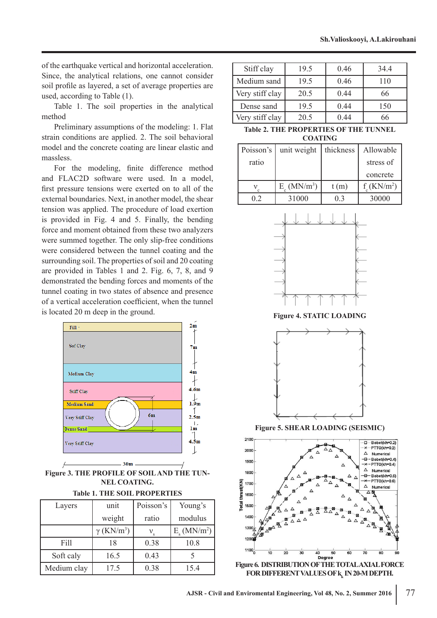of the earthquake vertical and horizontal acceleration. Since, the analytical relations, one cannot consider soil profile as layered, a set of average properties are used, according to Table (1).

Table 1. The soil properties in the analytical method

Preliminary assumptions of the modeling: 1. Flat strain conditions are applied. 2. The soil behavioral model and the concrete coating are linear elastic and massless.

For the modeling, finite difference method and FLAC2D software were used. In a model, first pressure tensions were exerted on to all of the external boundaries. Next, in another model, the shear tension was applied. The procedure of load exertion is provided in Fig. 4 and 5. Finally, the bending force and moment obtained from these two analyzers were summed together. The only slip-free conditions were considered between the tunnel coating and the surrounding soil. The properties of soil and 20 coating are provided in Tables 1 and 2. Fig. 6, 7, 8, and 9 demonstrated the bending forces and moments of the tunnel coating in two states of absence and presence of a vertical acceleration coefficient, when the tunnel is located 20 m deep in the ground.



**Figure 3. THE PROFILE OF SOIL AND THE TUN-NEL COATING.**

|  |  |  |  |  | <b>Table 1. THE SOIL PROPERTIES</b> |
|--|--|--|--|--|-------------------------------------|
|--|--|--|--|--|-------------------------------------|

| Layers      | unit                          | Poisson's | Young's                          |
|-------------|-------------------------------|-----------|----------------------------------|
|             | weight                        | ratio     | modulus                          |
|             | $\gamma$ (KN/m <sup>3</sup> ) |           | $E_{\rm g}$ (MN/m <sup>2</sup> ) |
| Fill        | 18                            | 0.38      | 10.8                             |
| Soft caly   | 16.5                          | 0.43      |                                  |
| Medium clay | 17.5                          | 0.38      | 15.4                             |

| Stiff clay      | 19.5 | 0.46 | 34.4 |
|-----------------|------|------|------|
| Medium sand     | 19.5 | 0.46 | 110  |
| Very stiff clay | 20.5 | 0.44 | 66   |
| Dense sand      | 19.5 | 0.44 | 150  |
| Very stiff clay | 20.5 | 0 44 |      |

**Table 2. THE PROPERTIES OF THE TUNNEL COATING**

| Poisson's | unit weight                      | thickness | Allowable                  |
|-----------|----------------------------------|-----------|----------------------------|
| ratio     |                                  |           | stress of                  |
|           |                                  |           | concrete                   |
|           | $E_{\circ}$ (MN/m <sup>3</sup> ) | t(m)      | $f_c$ (KN/m <sup>2</sup> ) |
| 12        | 31000                            | () 3      | 30000                      |



**Figure 4. STATIC LOADING** 



**Figure 5. SHEAR LOADING (SEISMIC)**



**Figure 6. DISTRIBUTION OF THE TOTAL AXIAL FORCE FOR DIFFERENT VALUES OF kk IN 20-M DEPTH.**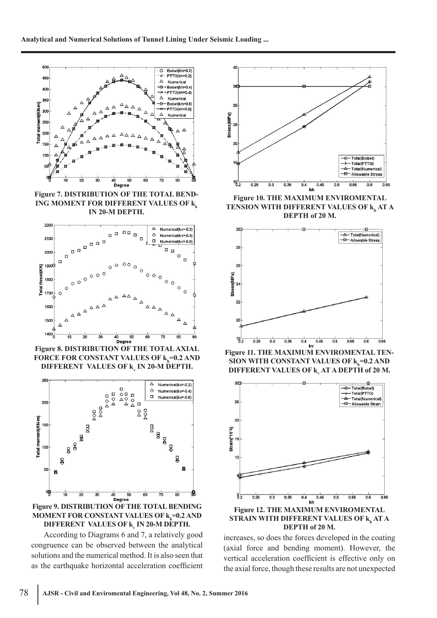

**Figure 7. DISTRIBUTION OF THE TOTAL BEND-ING MOMENT FOR DIFFERENT VALUES OF k IN 20-M DEPTH.**



**Figure 8. DISTRIBUTION OF THE TOTAL AXIAL FORCE FOR CONSTANT VALUES OF**  $\mathbf{k}_\mathbf{h}^{\mathbf{=}0.2}$  **and DIFFERENT VALUES OF kv IN 20-M DEPTH.**



**Figure 9. DISTRIBUTION OF THE TOTAL BENDING MOMENT FOR CONSTANT VALUES OF**  $\mathsf{k}_{\mathsf{h}}$ **=0.2 AND DIFFERENT VALUES OF kv IN 20-M DEPTH.**

According to Diagrams 6 and 7, a relatively good congruence can be observed between the analytical solutions and the numerical method. It is also seen that as the earthquake horizontal acceleration coefficient



**Figure 10. THE MAXIMUM ENVIROMENTAL TENSION WITH DIFFERENT VALUES OF**  $\mathbf{k}_\mathbf{h}$  **AT A DEPTH of 20 M.**



**Figure 11. THE MAXIMUM ENVIROMENTAL TEN-SION WITH CONSTANT VALUES OF**  $k_h$ **=0.2 AND DIFFERENT VALUES OF k<sub>y</sub> AT A DEPTH of 20 M.** 



**Figure 12. THE MAXIMUM ENVIROMENTAL**  STRAIN WITH DIFFERENT VALUES OF **k<sub>h</sub> AT A DEPTH of 20 M.**

increases, so does the forces developed in the coating (axial force and bending moment). However, the vertical acceleration coefficient is effective only on the axial force, though these results are not unexpected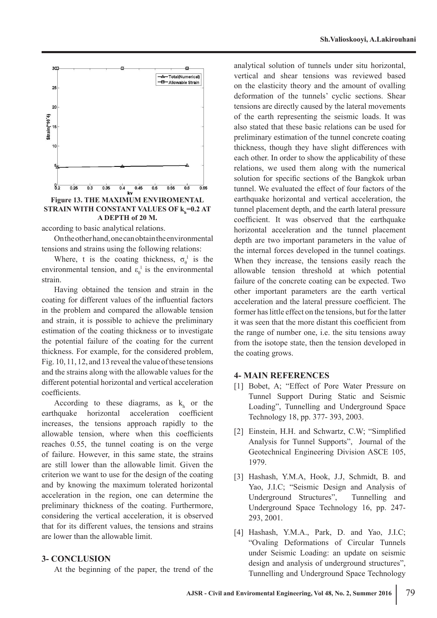

**Figure 13. THE MAXIMUM ENVIROMENTAL**  STRAIN WITH CONSTANT VALUES OF **k<sub>h</sub>=0.2 AT A DEPTH of 20 M.**

according to basic analytical relations.

On the other hand, one can obtain the environmental tensions and strains using the following relations:

Where, t is the coating thickness,  $\sigma_{\theta}^{\perp}$  is the environmental tension, and  $\varepsilon_{\theta}^{\perp}$  is the environmental strain.

Having obtained the tension and strain in the coating for different values of the influential factors in the problem and compared the allowable tension and strain, it is possible to achieve the preliminary estimation of the coating thickness or to investigate the potential failure of the coating for the current thickness. For example, for the considered problem, Fig. 10, 11, 12, and 13 reveal the value of these tensions and the strains along with the allowable values for the different potential horizontal and vertical acceleration coefficients.

According to these diagrams, as  $k<sub>h</sub>$  or the earthquake horizontal acceleration coefficient increases, the tensions approach rapidly to the allowable tension, where when this coefficients reaches 0.55, the tunnel coating is on the verge of failure. However, in this same state, the strains are still lower than the allowable limit. Given the criterion we want to use for the design of the coating and by knowing the maximum tolerated horizontal acceleration in the region, one can determine the preliminary thickness of the coating. Furthermore, considering the vertical acceleration, it is observed that for its different values, the tensions and strains are lower than the allowable limit.

### **3- CONCLUSION**

At the beginning of the paper, the trend of the

analytical solution of tunnels under situ horizontal, vertical and shear tensions was reviewed based on the elasticity theory and the amount of ovalling deformation of the tunnels' cyclic sections. Shear tensions are directly caused by the lateral movements of the earth representing the seismic loads. It was also stated that these basic relations can be used for preliminary estimation of the tunnel concrete coating thickness, though they have slight differences with each other. In order to show the applicability of these relations, we used them along with the numerical solution for specific sections of the Bangkok urban tunnel. We evaluated the effect of four factors of the earthquake horizontal and vertical acceleration, the tunnel placement depth, and the earth lateral pressure coefficient. It was observed that the earthquake horizontal acceleration and the tunnel placement depth are two important parameters in the value of the internal forces developed in the tunnel coatings. When they increase, the tensions easily reach the allowable tension threshold at which potential failure of the concrete coating can be expected. Two other important parameters are the earth vertical acceleration and the lateral pressure coefficient. The former has little effect on the tensions, but for the latter it was seen that the more distant this coefficient from the range of number one, i.e. the situ tensions away from the isotope state, then the tension developed in the coating grows.

#### **4- MAIN REFERENCES**

- [1] Bobet, A; "Effect of Pore Water Pressure on Tunnel Support During Static and Seismic Loading", Tunnelling and Underground Space Technology 18, pp. 377- 393, 2003.
- [2] Einstein, H.H. and Schwartz, C.W; "Simplified Analysis for Tunnel Supports", Journal of the Geotechnical Engineering Division ASCE 105, 1979.
- [3] Hashash, Y.M.A, Hook, J.J, Schmidt, B. and Yao, J.I.C; "Seismic Design and Analysis of Underground Structures", Tunnelling and Underground Space Technology 16, pp. 247- 293, 2001.
- [4] Hashash, Y.M.A., Park, D. and Yao, J.I.C; "Ovaling Deformations of Circular Tunnels under Seismic Loading: an update on seismic design and analysis of underground structures", Tunnelling and Underground Space Technology